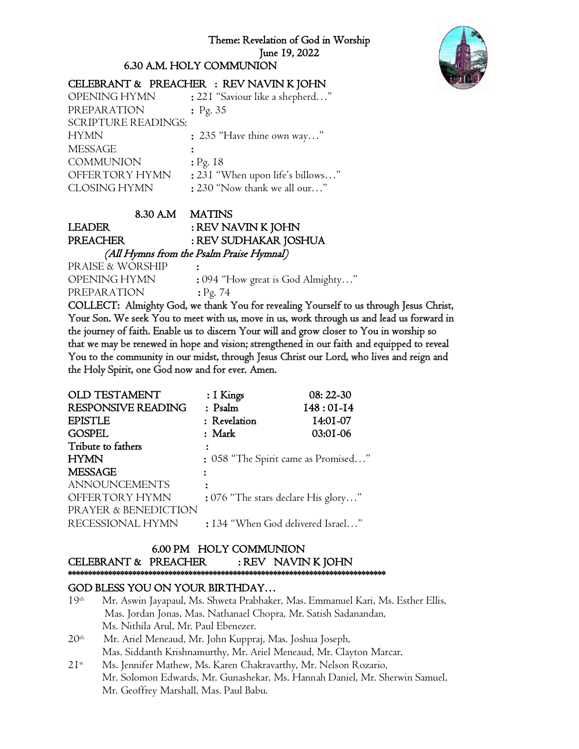#### Theme: Revelation of God in Worship June 19, 2022

6.30 A.M. HOLY COMMUNION



## CELEBRANT & PREACHER : REV NAVIN K JOHN

| OPENING HYMN               | : 221 "Saviour like a shepherd"  |
|----------------------------|----------------------------------|
| PREPARATION                | : Pg. $35$                       |
| <b>SCRIPTURE READINGS:</b> |                                  |
| <b>HYMN</b>                | : 235 "Have thine own way"       |
| <b>MESSAGE</b>             |                                  |
| <b>COMMUNION</b>           | $:$ Pg. 18                       |
| OFFERTORY HYMN             | : 231 "When upon life's billows" |
| <b>CLOSING HYMN</b>        | : 230 "Now thank we all our"     |

#### 8.30 A.M MATINS

LEADER : REV NAVIN K JOHN PREACHER : REV SUDHAKAR JOSHUA

 (All Hymns from the Psalm Praise Hymnal) PRAISE & WORSHIP : OPENING HYMN : 094 "How great is God Almighty…" PREPARATION : Pg. 74

COLLECT: Almighty God, we thank You for revealing Yourself to us through Jesus Christ, Your Son. We seek You to meet with us, move in us, work through us and lead us forward in the journey of faith. Enable us to discern Your will and grow closer to You in worship so that we may be renewed in hope and vision; strengthened in our faith and equipped to reveal You to the community in our midst, through Jesus Christ our Lord, who lives and reign and the Holy Spirit, one God now and for ever. Amen.

| OLD TESTAMENT             | : I Kings                           | 08: 22-30                         |
|---------------------------|-------------------------------------|-----------------------------------|
| <b>RESPONSIVE READING</b> | $:$ Psalm                           | $I48:0I-I4$                       |
| <b>EPISTLE</b>            | : Revelation                        | 14:01-07                          |
| <b>GOSPEL</b>             | : Mark                              | 03:01-06                          |
| Tribute to fathers        |                                     |                                   |
| <b>HYMN</b>               | : 058 "The Spirit came as Promised" |                                   |
| <b>MESSAGE</b>            |                                     |                                   |
| <b>ANNOUNCEMENTS</b>      |                                     |                                   |
| OFFERTORY HYMN            | : 076 "The stars declare His glory" |                                   |
| PRAYER & BENEDICTION      |                                     |                                   |
| RECESSIONAL HYMN          |                                     | : 134 "When God delivered Israel" |

#### 6.00 PM HOLY COMMUNION CELEBRANT & PREACHER : REV NAVIN K JOHN \*\*\*\*\*\*\*\*\*\*\*\*\*\*\*\*\*\*\*\*\*\*\*\*\*\*\*\*\*\*\*\*\*\*\*\*\*\*\*\*\*\*\*\*\*\*\*\*\*\*\*\*\*\*\*\*\*\*\*\*\*\*\*\*\*\*\*\*\*\*\*\*\*\*\*\*\*\*\*

## GOD BLESS YOU ON YOUR BIRTHDAY…

- 19<sup>th</sup> Mr. Aswin Jayapaul, Ms. Shweta Prabhaker, Mas. Emmanuel Kari, Ms. Esther Ellis, Mas. Jordan Jonas, Mas. Nathanael Chopra, Mr. Satish Sadanandan, Ms. Nithila Arul, Mr. Paul Ebenezer.
- $20<sup>th</sup>$  Mr. Ariel Meneaud, Mr. John Kuppraj, Mas. Joshua Joseph, Mas. Siddanth Krishnamurthy, Mr. Ariel Meneaud, Mr. Clayton Marcar.
- 21<sup>st</sup> Ms. Jennifer Mathew, Ms. Karen Chakravarthy, Mr. Nelson Rozario, Mr. Solomon Edwards, Mr. Gunashekar, Ms. Hannah Daniel, Mr. Sherwin Samuel, Mr. Geoffrey Marshall, Mas. Paul Babu.